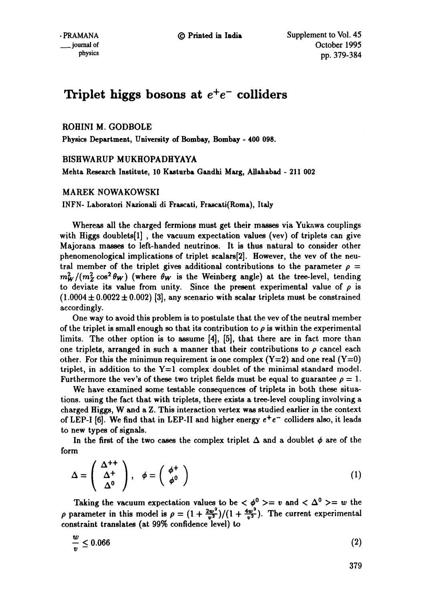# Triplet higgs bosons at  $e^+e^-$  colliders

# ROHINI M. GODBOLE

Physics **Department, University of Bombay, Bombay - 400 098.** 

# BISHWARUP MUKHOPADHYAYA

**Mehta Reseexch Institute,** 10 Kasturb8 Gandhi M~rg, Allahabad - 211 **002** 

## MAREK NOWAKOWSKI

INFN- Laboratori Nazionali di Frascati, Frascati(Roma), Italy

Whereas all the charged fermions must get their masses via Yukawa couplings with Higgs doublets[I], the vacuum expectation values (vev) of triplets can give Majorana masses to left-handed neutrinos. It is thus natural to consider other phenomenological implications of triplet scalars[2]. However, the vev of the neutral member of the triplet gives additional contributions to the parameter  $\rho =$  $m_W^2/(m_Z^2 \cos^2 \theta_W)$  (where  $\theta_W$  is the Weinberg angle) at the tree-level, tending to deviate its value from unity. Since the present experimental value of  $\rho$  is  $(1.0004 \pm 0.0022 \pm 0.002)$  [3], any scenario with scalar triplets must be constrained accordingly.

One way to avoid this problem is to postulate that the vev of the neutral member of the triplet is small enough so that its contribution to  $\rho$  is within the experimental limits. The other option is to assume [4], [5], that there are in fact more than one triplets, arranged in such a manner that their contributions to  $\rho$  cancel each other. For this the minimun requirement is one complex  $(Y=2)$  and one real  $(Y=0)$ triplet, in addition to the  $Y=1$  complex doublet of the minimal standard model. Furthermore the vev's of these two triplet fields must be equal to guarantee  $\rho = 1$ .

We have examined some testable consequences of triplets in both these situations, using the fact that with triplets, there exists a tree-level coupling involving a charged Higgs, W and a Z. This interaction vertex was studied earlier in the context of LEP-I [6]. We find that in LEP-II and higher energy  $e^+e^-$  colliders also, it leads to new types of signals.

In the first of the two cases the complex triplet  $\Delta$  and a doublet  $\phi$  are of the form

$$
\Delta = \left(\begin{array}{c} \Delta^{++} \\ \Delta^+ \\ \Delta^0 \end{array}\right), \quad \phi = \left(\begin{array}{c} \phi^+ \\ \phi^0 \end{array}\right) \tag{1}
$$

Taking the vacuum expectation values to be  $\langle \phi^0 \rangle = v$  and  $\langle \Delta^0 \rangle = w$  the  $\rho$  parameter in this model is  $\rho = (1 + \frac{2w^2}{v^2})/(1 + \frac{4w^2}{v^2})$ . The current experimental constraint translates (at 99% confidence level) to

$$
\frac{w}{v} \le 0.066\tag{2}
$$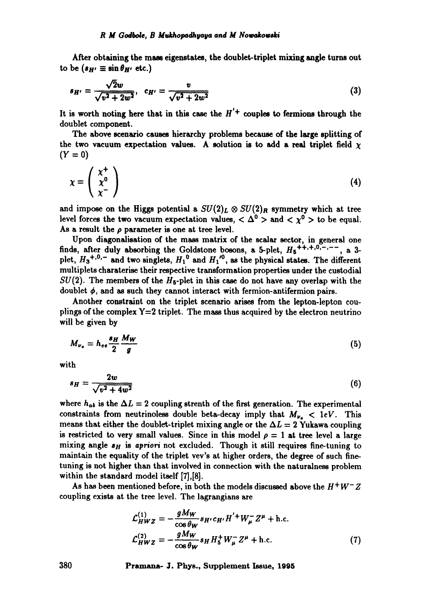After obtaining the mass eigenstates, the doublet-triplet mixing angle turns out to be  $(s_H \equiv \sin \theta_{H'} \text{ etc.})$ 

$$
s_{H'} = \frac{\sqrt{2}w}{\sqrt{v^2 + 2w^2}}, \quad c_{H'} = \frac{v}{\sqrt{v^2 + 2w^2}}
$$
(3)

It is worth noting here that in this case the  $H'$ <sup>+</sup> couples to fermions through the doublet component.

The above scenario causes hierarchy problems because of the large splitting of the two vacuum expectation values. A solution is to add a real triplet field  $\chi$  $(Y = 0)$ 

$$
\chi = \left(\begin{array}{c} \chi^+ \\ \chi^0 \\ \chi^- \end{array}\right) \tag{4}
$$

and impose on the Higgs potential a  $SU(2)_L \otimes SU(2)_R$  symmetry which at tree level forces the two vacuum expectation values,  $\langle \Delta^0 \rangle$  and  $\langle \chi^0 \rangle$  to be equal. As a result the  $\rho$  parameter is one at tree level.

Upon diagonalisation of the mass matrix of the scalar sector, in general one finds, after duly absorbing the Goldstone bosons, a 5-plet,  $H_5^{+,+,+,0,-,--}$ , a 3plet,  $H_3^{+,0,-}$  and two singlets,  $H_1^0$  and  $H_1^{\prime 0}$ , as the physical states. The different multiplets charaterise their respective transformation properties under the custodial  $SU(2)$ . The members of the  $H_5$ -plet in this case do not have any overlap with the doublet  $\phi$ , and as such they cannot interact with fermion-antifermion pairs.

Another constraint on the triplet scenario arises from the lepton-lepton couplings of the complex  $Y=2$  triplet. The mass thus acquired by the electron neutrino will be given by

$$
M_{\nu_e} = h_{ee} \frac{s_H}{2} \frac{M_W}{g} \tag{5}
$$

**with** 

$$
s_H = \frac{2w}{\sqrt{v^2 + 4w^2}}\tag{6}
$$

where  $h_{ab}$  is the  $\Delta L = 2$  coupling strenth of the first generation. The experimental constraints from neutrinoless double beta-decay imply that  $M_{\nu_a} < 1 \text{eV}$ . This means that either the doublet-triplet mixing angle or the  $\Delta L = 2$  Yukawa coupling is restricted to very small values. Since in this model  $\rho = 1$  at tree level a large mixing angle  $s_H$  is *apriori* not excluded. Though it still requires fine-tuning to maintain the equality of the triplet vev's at higher orders, the degree of such finetuning is not higher than that involved in connection with the naturalness problem within the standard model itself [7],[8].

As has been mentioned before, in both the models discussed above the  $H^+W^-Z$ coupling exists at the tree level. The lagrangians are

$$
\mathcal{L}_{HWZ}^{(1)} = -\frac{gM_W}{\cos \theta_W} s_{H'} c_{H'} H' + W_{\mu}^- Z^{\mu} + \text{h.c.}
$$
\n
$$
\mathcal{L}_{HWZ}^{(2)} = -\frac{gM_W}{\cos \theta_W} s_H H_5^+ W_{\mu}^- Z^{\mu} + \text{h.c.}
$$
\n(7)

**380 Pramana- J. Phys., Supplement Issue, 1995**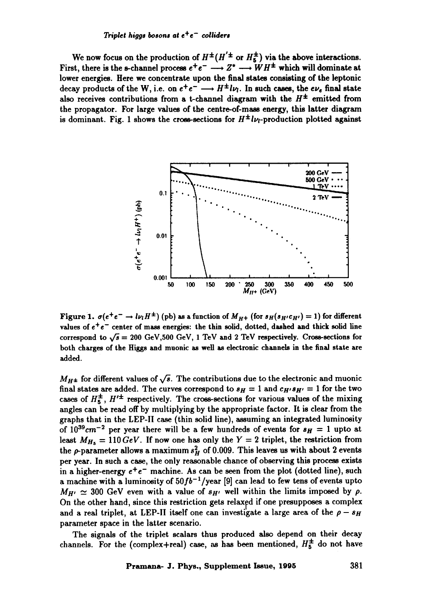#### *Triplet higgs bosons at*  $e^+e^-$  *colliders*

We now focus on the production of  $H^{\pm}(H^{'\pm}$  or  $H^{\pm}_{5}$ ) via the above interactions. First, there is the s-channel process  $e^+e^- \longrightarrow Z^* \longrightarrow WH^{\pm}$  which will dominate at **lower energies. Here we concentrate upon the final states consisting of the leptonic**  decay products of the W, i.e. on  $e^+e^- \longrightarrow H^{\pm}l\nu_l$ . In such cases, the  $e\nu_e$  final state also receives contributions from a t-channel diagram with the  $H^{\pm}$  emitted from **the propagator. For large values of the centre-of-mass energy, this latter diagram**  is dominant. Fig. 1 shows the cross-sections for  $H^{\pm}l\nu_l$ -production plotted against



Figure 1.  $\sigma(e^+e^- \to l\nu_l H^{\pm})$  (pb) as a function of  $M_{H+}$  (for  $s_H(s_{H'}c_{H'})=1$ ) for different values of  $e^+e^-$  center of mass energies: the thin solid, dotted, dashed and thick solid line correspond to  $\sqrt{s}$  = 200 GeV,500 GeV, 1 TeV and 2 TeV respectively. Cross-sections for both charges of the Higgs and muonic as well as electronic channels in the final state are added.

 $M_{H\pm}$  for different values of  $\sqrt{s}$ . The contributions due to the electronic and muonic final states are added. The curves correspond to  $s_H = 1$  and  $c_{H'} s_{H'} = 1$  for the two cases of  $H_5^{\pm}$ ,  $H'^{\pm}$  respectively. The cross-sections for various values of the mixing angles can be read off by multiplying by the appropriate factor. It is clear from the graphs that in the LEP-II case (thin solid line), assuming an integrated luminosity of  $10^{39}cm^{-2}$  per year there will be a few hundreds of events for  $s_H = 1$  upto at least  $M_{H_5} = 110 \, GeV$ . If now one has only the Y = 2 triplet, the restriction from the  $\rho$ -parameter allows a maximum  $s_H^2$  of 0.009. This leaves us with about 2 events per year. In such a case, the only reasonable chance of observing this process exists in a higher-energy  $e^+e^-$  machine. As can be seen from the plot (dotted line), such a machine with a luminosity of  $50fb^{-1}/year$  [9] can lead to few tens of events upto  $M_{H'} \simeq 300$  GeV even with a value of  $s_{H'}$  well within the limits imposed by  $\rho$ . On the other hand, since this restriction gets relaxed if one presupposes a complex and a real triplet, at LEP-II itself one can investigate a large area of the  $\rho - s_H$ parameter space in the latter scenario.

The signals of the triplet scalars thus produced also depend on their decay channels. For the (complex+real) case, as has been mentioned,  $H_5^{\pm}$  do not have

## **Pramana- J. Phys., Supplement Issue, 1995 381**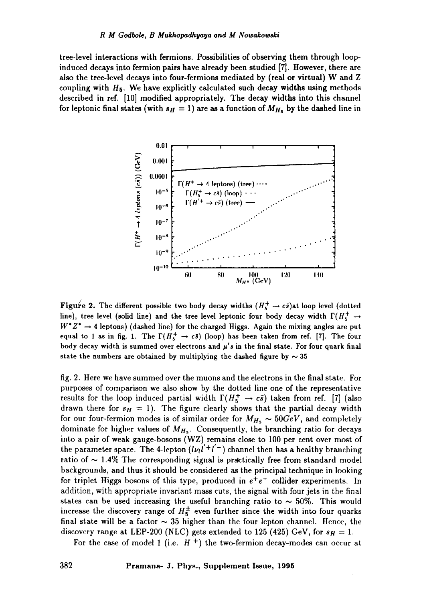tree-level interactions with fermions. Possibilities of observing them through loopinduced decays into fermion pairs have already been studied [7]. However, there are also the tree-level decays into four-fermions mediated by (real or virtual) W and Z coupling with  $H_5$ . We have explicitly calculated such decay widths using methods described in ref. [10] modified appropriately. The decay widths into this channel for leptonic final states (with  $s_H = 1$ ) are as a function of  $M_{H_s}$  by the dashed line in



Figure 2. The different possible two body decay widths  $(H_5^+ \rightarrow c\bar{s})$ at loop level (dotted line), tree level (solid line) and the tree level leptonic four body decay width  $\Gamma(H_{\sigma}^+ \rightarrow$  $W^*Z^* \rightarrow 4$  leptons) (dashed line) for the charged Higgs. Again the mixing angles are put equal to 1 as in fig. 1. The  $\Gamma(H_{\kappa}^+ \to c\bar{s})$  (loop) has been taken from ref. [7]. The four body decay width is summed over electrons and  $\mu'$ s in the final state. For four quark final state the numbers are obtained by multiplying the dashed figure by  $\sim$  35

fig. 2. Here we have summed over the muons and the electrons in the final state. For purposes of comparison we also show by the dotted line one of the representative results for the loop induced partial width  $\Gamma(H_5^+ \rightarrow c\bar{s})$  taken from ref. [7] (also drawn there for  $s_H = 1$ ). The figure clearly shows that the partial decay width for our four-fermion modes is of similar order for  $M_{H_5} \sim 50 GeV$ , and completely dominate for higher values of  $M_{H_5}$ . Consequently, the branching ratio for decays into a pair of weak gauge-bosons (WZ) remains close to 100 per cent over most of the parameter space. The 4-lepton  $(l\nu_l l' + l' - )$  channel then has a healthy branching ratio of  $\sim$  1.4% The corresponding signal is practically free from standard model backgrounds, and thus it should be considered as the principal technique in looking for triplet Higgs bosons of this type, produced in  $e^+e^-$  collider experiments. In addition, with appropriate invariant mass cuts, the signal with four jets in the final states can be used increasing the useful branching ratio to  $\sim$  50%. This would increase the discovery range of  $H_5^{\pm}$  even further since the width into four quarks final state will be a factor  $\sim$  35 higher than the four lepton channel. Hence, the discovery range at LEP-200 (NLC) gets extended to 125 (425) GeV, for  $s_H = 1$ .

For the case of model 1 (i.e.  $H^+$ ) the two-fermion decay-modes can occur at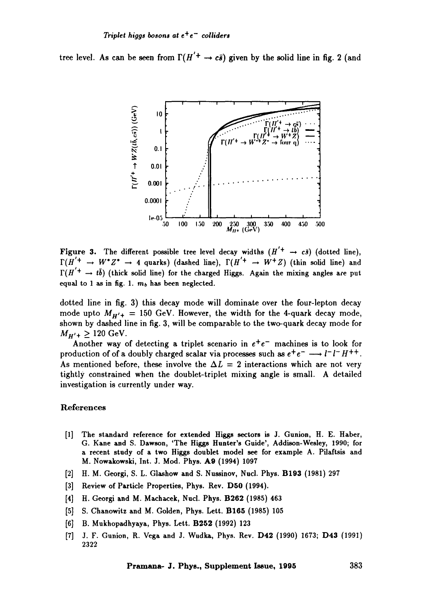tree level. As can be seen from  $\Gamma(H'^+ \to c\bar{s})$  given by the solid line in fig. 2 (and



Figure 3. The different possible tree level decay widths  $(H'^+ \rightarrow c\bar{s})$  (dotted line),  $\Gamma(H'^+ \to W^*Z^* \to 4$  quarks) (dashed line),  $\Gamma(H'^+ \to W^+Z)$  (thin solid line) and  $\Gamma(H'^+ \to t\bar{b})$  (thick solid line) for the charged Higgs. Again the mixing angles are put equal to 1 as in fig. 1.  $m_b$  has been neglected.

dotted line in fig. 3) this decay mode will dominate over the four-lepton decay mode upto  $M_{H'+}$  = 150 GeV. However, the width for the 4-quark decay mode, shown by dashed line in fig. 3, will be comparable to the two-quark decay mode for  $M_{H'+} \ge 120$  GeV.

Another way of detecting a triplet scenario in  $e^+e^-$  machines is to look for production of of a doubly charged scalar via processes such as  $e^+e^- \longrightarrow l^-l^-H^{++}$ . As mentioned before, these involve the  $\Delta L = 2$  interactions which are not very tightly constrained when the doublet-triplet mixing angle is small. A detailed investigation is currently under way.

#### References

- [1] The standard reference for extended Higgs sectors is J. Gunion, H. E. Haber, G. Kane and S. Dawson, 'The **Higgs Hunter's** Guide', Addison-Wesley, 1990; for a recent study of a two Higgs doublet model see for example A. Pilaftsis and **M. Nowakowski, Int. J. Mod. Phys. A9** (1994) 1097
- [2] H.M. Georgi, S. L. Glashow and S. Nussinov, Nucl. Phys. B193 (1981) 297
- [3] Review of Particle Properties, Phys. Rev. D50 (1994).
- [4] H. Georgi and M. Machacek, Nucl. Phys. B262 (1985) 463
- [5] S. Chanowitz and M. Golden, Phys. Lett. B165 (1985) 105
- [6] B. Mukhopadhyaya, Phys. Lett. B252 (1992) 123
- [7] 3. F. Gunion, R. Vega and J. Wudka, Phys. Rev. D42 (1990) 1673; D43 (1991) 2322